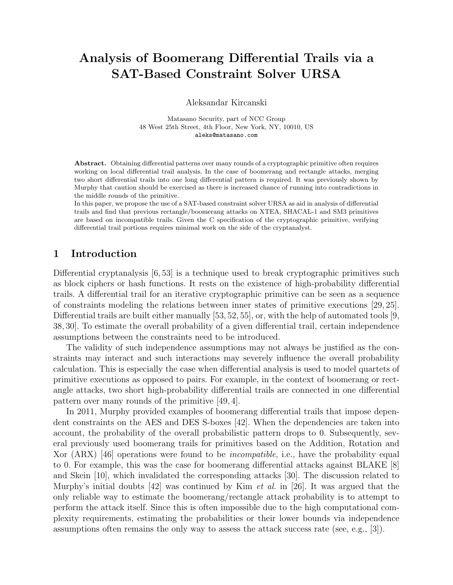# Analysis of Boomerang Differential Trails via a SAT-Based Constraint Solver URSA

Aleksandar Kircanski

Matasano Security, part of NCC Group 48 West 25th Street, 4th Floor, New York, NY, 10010, US aleks@matasano.com

Abstract. Obtaining differential patterns over many rounds of a cryptographic primitive often requires working on local differential trail analysis. In the case of boomerang and rectangle attacks, merging two short differential trails into one long differential pattern is required. It was previously shown by Murphy that caution should be exercised as there is increased chance of running into contradictions in the middle rounds of the primitive.

In this paper, we propose the use of a SAT-based constraint solver URSA as aid in analysis of differential trails and find that previous rectangle/boomerang attacks on XTEA, SHACAL-1 and SM3 primitives are based on incompatible trails. Given the C specification of the cryptographic primitive, verifying differential trail portions requires minimal work on the side of the cryptanalyst.

### 1 Introduction

Differential cryptanalysis [6, 53] is a technique used to break cryptographic primitives such as block ciphers or hash functions. It rests on the existence of high-probability differential trails. A differential trail for an iterative cryptographic primitive can be seen as a sequence of constraints modeling the relations between inner states of primitive executions [29, 25]. Differential trails are built either manually [53, 52, 55], or, with the help of automated tools [9, 38, 30]. To estimate the overall probability of a given differential trail, certain independence assumptions between the constraints need to be introduced.

The validity of such independence assumptions may not always be justified as the constraints may interact and such interactions may severely influence the overall probability calculation. This is especially the case when differential analysis is used to model quartets of primitive executions as opposed to pairs. For example, in the context of boomerang or rectangle attacks, two short high-probability differential trails are connected in one differential pattern over many rounds of the primitive [49, 4].

In 2011, Murphy provided examples of boomerang differential trails that impose dependent constraints on the AES and DES S-boxes [42]. When the dependencies are taken into account, the probability of the overall probabilistic pattern drops to 0. Subsequently, several previously used boomerang trails for primitives based on the Addition, Rotation and Xor (ARX) [46] operations were found to be incompatible, i.e., have the probability equal to 0. For example, this was the case for boomerang differential attacks against BLAKE [8] and Skein [10], which invalidated the corresponding attacks [30]. The discussion related to Murphy's initial doubts  $[42]$  was continued by Kim *et al.* in [26]. It was argued that the only reliable way to estimate the boomerang/rectangle attack probability is to attempt to perform the attack itself. Since this is often impossible due to the high computational complexity requirements, estimating the probabilities or their lower bounds via independence assumptions often remains the only way to assess the attack success rate (see, e.g., [3]).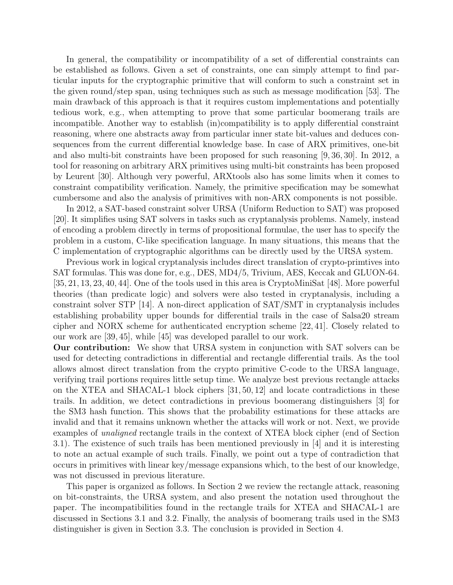In general, the compatibility or incompatibility of a set of differential constraints can be established as follows. Given a set of constraints, one can simply attempt to find particular inputs for the cryptographic primitive that will conform to such a constraint set in the given round/step span, using techniques such as such as message modification [53]. The main drawback of this approach is that it requires custom implementations and potentially tedious work, e.g., when attempting to prove that some particular boomerang trails are incompatible. Another way to establish (in)compatibility is to apply differential constraint reasoning, where one abstracts away from particular inner state bit-values and deduces consequences from the current differential knowledge base. In case of ARX primitives, one-bit and also multi-bit constraints have been proposed for such reasoning [9, 36, 30]. In 2012, a tool for reasoning on arbitrary ARX primitives using multi-bit constraints has been proposed by Leurent [30]. Although very powerful, ARXtools also has some limits when it comes to constraint compatibility verification. Namely, the primitive specification may be somewhat cumbersome and also the analysis of primitives with non-ARX components is not possible.

In 2012, a SAT-based constraint solver URSA (Uniform Reduction to SAT) was proposed [20]. It simplifies using SAT solvers in tasks such as cryptanalysis problems. Namely, instead of encoding a problem directly in terms of propositional formulae, the user has to specify the problem in a custom, C-like specification language. In many situations, this means that the C implementation of cryptographic algorithms can be directly used by the URSA system.

Previous work in logical cryptanalysis includes direct translation of crypto-primtives into SAT formulas. This was done for, e.g., DES, MD4/5, Trivium, AES, Keccak and GLUON-64. [35, 21, 13, 23, 40, 44]. One of the tools used in this area is CryptoMiniSat [48]. More powerful theories (than predicate logic) and solvers were also tested in cryptanalysis, including a constraint solver STP [14]. A non-direct application of SAT/SMT in cryptanalysis includes establishing probability upper bounds for differential trails in the case of Salsa20 stream cipher and NORX scheme for authenticated encryption scheme [22, 41]. Closely related to our work are [39, 45], while [45] was developed parallel to our work.

Our contribution: We show that URSA system in conjunction with SAT solvers can be used for detecting contradictions in differential and rectangle differential trails. As the tool allows almost direct translation from the crypto primitive C-code to the URSA language, verifying trail portions requires little setup time. We analyze best previous rectangle attacks on the XTEA and SHACAL-1 block ciphers [31, 50, 12] and locate contradictions in these trails. In addition, we detect contradictions in previous boomerang distinguishers [3] for the SM3 hash function. This shows that the probability estimations for these attacks are invalid and that it remains unknown whether the attacks will work or not. Next, we provide examples of unaligned rectangle trails in the context of XTEA block cipher (end of Section 3.1). The existence of such trails has been mentioned previously in [4] and it is interesting to note an actual example of such trails. Finally, we point out a type of contradiction that occurs in primitives with linear key/message expansions which, to the best of our knowledge, was not discussed in previous literature.

This paper is organized as follows. In Section 2 we review the rectangle attack, reasoning on bit-constraints, the URSA system, and also present the notation used throughout the paper. The incompatibilities found in the rectangle trails for XTEA and SHACAL-1 are discussed in Sections 3.1 and 3.2. Finally, the analysis of boomerang trails used in the SM3 distinguisher is given in Section 3.3. The conclusion is provided in Section 4.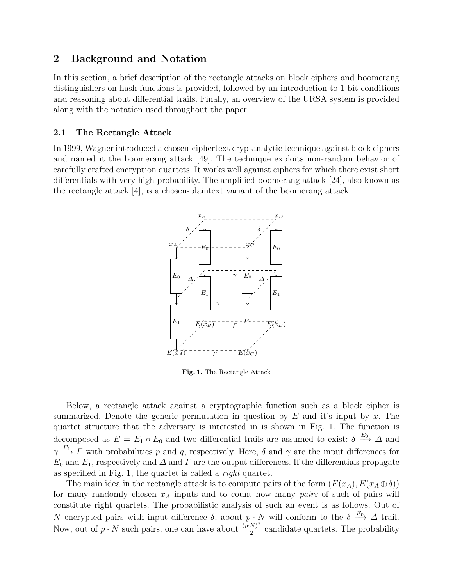## 2 Background and Notation

In this section, a brief description of the rectangle attacks on block ciphers and boomerang distinguishers on hash functions is provided, followed by an introduction to 1-bit conditions and reasoning about differential trails. Finally, an overview of the URSA system is provided along with the notation used throughout the paper.

### 2.1 The Rectangle Attack

In 1999, Wagner introduced a chosen-ciphertext cryptanalytic technique against block ciphers and named it the boomerang attack [49]. The technique exploits non-random behavior of carefully crafted encryption quartets. It works well against ciphers for which there exist short differentials with very high probability. The amplified boomerang attack [24], also known as the rectangle attack [4], is a chosen-plaintext variant of the boomerang attack.



Fig. 1. The Rectangle Attack

Below, a rectangle attack against a cryptographic function such as a block cipher is summarized. Denote the generic permutation in question by  $E$  and it's input by  $x$ . The quartet structure that the adversary is interested in is shown in Fig. 1. The function is decomposed as  $E = E_1 \circ E_0$  and two differential trails are assumed to exist:  $\delta \stackrel{E_0}{\longrightarrow} \Delta$  and  $\gamma \stackrel{E_1}{\longrightarrow} \Gamma$  with probabilities p and q, respectively. Here,  $\delta$  and  $\gamma$  are the input differences for  $E_0$  and  $E_1$ , respectively and  $\Delta$  and  $\Gamma$  are the output differences. If the differentials propagate as specified in Fig. 1, the quartet is called a right quartet.

The main idea in the rectangle attack is to compute pairs of the form  $(E(x_A), E(x_A \oplus \delta))$ for many randomly chosen  $x_A$  inputs and to count how many pairs of such of pairs will constitute right quartets. The probabilistic analysis of such an event is as follows. Out of N encrypted pairs with input difference  $\delta$ , about  $p \cdot N$  will conform to the  $\delta \stackrel{E_0}{\longrightarrow} \Delta$  trail. Now, out of  $p \cdot N$  such pairs, one can have about  $\frac{(p \cdot N)^2}{2}$  $\frac{N}{2}$  candidate quartets. The probability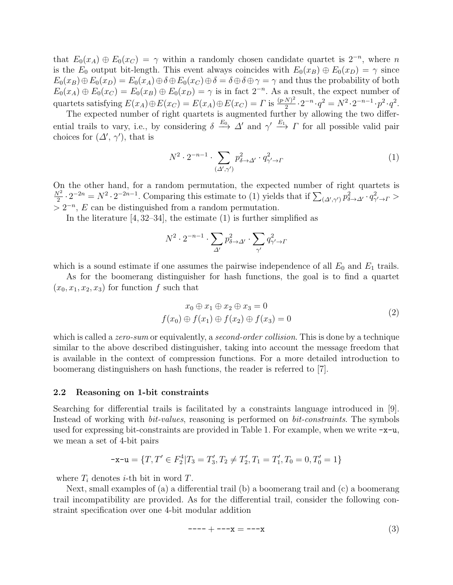that  $E_0(x_A) \oplus E_0(x_C) = \gamma$  within a randomly chosen candidate quartet is  $2^{-n}$ , where n is the  $E_0$  output bit-length. This event always coincides with  $E_0(x_B) \oplus E_0(x_D) = \gamma$  since  $E_0(x_B) \oplus E_0(x_D) = E_0(x_A) \oplus \delta \oplus E_0(x_C) \oplus \delta = \delta \oplus \delta \oplus \gamma = \gamma$  and thus the probability of both  $E_0(x_A) \oplus E_0(x_C) = E_0(x_B) \oplus E_0(x_D) = \gamma$  is in fact  $2^{-n}$ . As a result, the expect number of quartets satisfying  $E(x_A) \oplus E(x_C) = E(x_A) \oplus E(x_C) = \Gamma$  is  $\frac{(p \cdot N)^2}{2}$  $\frac{(N)^2}{2} \cdot 2^{-n} \cdot q^2 = N^2 \cdot 2^{-n-1} \cdot p^2 \cdot q^2.$ 

The expected number of right quartets is augmented further by allowing the two differential trails to vary, i.e., by considering  $\delta \stackrel{E_0}{\longrightarrow} \Delta'$  and  $\gamma' \stackrel{E_1}{\longrightarrow} \Gamma$  for all possible valid pair choices for  $(\Delta', \gamma')$ , that is

$$
N^2 \cdot 2^{-n-1} \cdot \sum_{(\Delta', \gamma')} p_{\delta \to \Delta'}^2 \cdot q_{\gamma' \to \Gamma}^2 \tag{1}
$$

On the other hand, for a random permutation, the expected number of right quartets is  $N^2$  $\frac{\nabla^2}{2} \cdot 2^{-2n} = N^2 \cdot 2^{-2n-1}$ . Comparing this estimate to (1) yields that if  $\sum_{(\Delta',\gamma')} p_{\delta \to \Delta'}^2 \cdot q_{\gamma'\to\Gamma}^2 >$  $> 2^{-n}$ , E can be distinguished from a random permutation.

In the literature  $[4, 32-34]$ , the estimate  $(1)$  is further simplified as

$$
N^2 \cdot 2^{-n-1} \cdot \sum_{\Delta'} p_{\delta \to \Delta'}^2 \cdot \sum_{\gamma'} q_{\gamma' \to \Gamma}^2
$$

which is a sound estimate if one assumes the pairwise independence of all  $E_0$  and  $E_1$  trails.

As for the boomerang distinguisher for hash functions, the goal is to find a quartet  $(x_0, x_1, x_2, x_3)$  for function f such that

$$
x_0 \oplus x_1 \oplus x_2 \oplus x_3 = 0
$$
  

$$
f(x_0) \oplus f(x_1) \oplus f(x_2) \oplus f(x_3) = 0
$$
 (2)

which is called a *zero-sum* or equivalently, a *second-order collision*. This is done by a technique similar to the above described distinguisher, taking into account the message freedom that is available in the context of compression functions. For a more detailed introduction to boomerang distinguishers on hash functions, the reader is referred to [7].

#### 2.2 Reasoning on 1-bit constraints

Searching for differential trails is facilitated by a constraints language introduced in [9]. Instead of working with bit-values, reasoning is performed on bit-constraints. The symbols used for expressing bit-constraints are provided in Table 1. For example, when we write  $-x-u$ , we mean a set of 4-bit pairs

$$
-x-u = \{T, T' \in F_2^4 | T_3 = T'_3, T_2 \neq T'_2, T_1 = T'_1, T_0 = 0, T'_0 = 1\}
$$

where  $T_i$  denotes *i*-th bit in word  $T$ .

Next, small examples of (a) a differential trail (b) a boomerang trail and (c) a boomerang trail incompatibility are provided. As for the differential trail, consider the following constraint specification over one 4-bit modular addition

$$
--- + ---x = ---x
$$
 (3)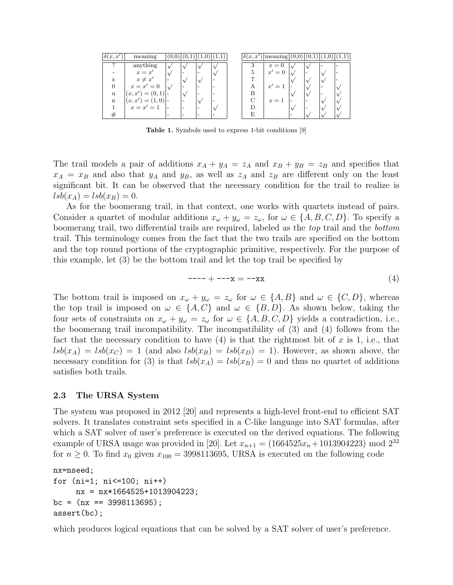| $\delta(x,x)$ | meaning            | ν. |  |  | $\delta(x,x)$             | $\lceil \text{meaning} \rceil(0,0) \rceil(0,1) \rceil(1,0)$ |  |  |
|---------------|--------------------|----|--|--|---------------------------|-------------------------------------------------------------|--|--|
|               | anything           |    |  |  |                           | $x=0$                                                       |  |  |
|               | $x = x'$           |    |  |  |                           | $x'=0$                                                      |  |  |
| X             | $x \neq x'$        |    |  |  |                           |                                                             |  |  |
|               | $x=x'=0$           |    |  |  | $\boldsymbol{\mathsf{A}}$ | $x' = 1$                                                    |  |  |
| u             | $(x, x') = (0, 1)$ |    |  |  |                           |                                                             |  |  |
| $\mathbf n$   | $(x, x') = (1, 0)$ |    |  |  |                           | $x=1$                                                       |  |  |
|               | $x=x'=1$           |    |  |  |                           |                                                             |  |  |
|               |                    |    |  |  |                           |                                                             |  |  |

Table 1. Symbols used to express 1-bit conditions [9]

The trail models a pair of additions  $x_A + y_A = z_A$  and  $x_B + y_B = z_B$  and specifies that  $x_A = x_B$  and also that  $y_A$  and  $y_B$ , as well as  $z_A$  and  $z_B$  are different only on the least significant bit. It can be observed that the necessary condition for the trail to realize is  $lsb(x_A) = lsb(x_B) = 0.$ 

As for the boomerang trail, in that context, one works with quartets instead of pairs. Consider a quartet of modular additions  $x_{\omega} + y_{\omega} = z_{\omega}$ , for  $\omega \in \{A, B, C, D\}$ . To specify a boomerang trail, two differential trails are required, labeled as the top trail and the bottom trail. This terminology comes from the fact that the two trails are specified on the bottom and the top round portions of the cryptographic primitive, respectively. For the purpose of this example, let (3) be the bottom trail and let the top trail be specified by

$$
--- + ---x = - - x
$$
 (4)

The bottom trail is imposed on  $x_{\omega} + y_{\omega} = z_{\omega}$  for  $\omega \in \{A, B\}$  and  $\omega \in \{C, D\}$ , whereas the top trail is imposed on  $\omega \in \{A, C\}$  and  $\omega \in \{B, D\}$ . As shown below, taking the four sets of constraints on  $x_{\omega} + y_{\omega} = z_{\omega}$  for  $\omega \in \{A, B, C, D\}$  yields a contradiction, i.e., the boomerang trail incompatibility. The incompatibility of (3) and (4) follows from the fact that the necessary condition to have  $(4)$  is that the rightmost bit of x is 1, i.e., that  $lsb(x_A) = lsb(x_C) = 1$  (and also  $lsb(x_B) = lsb(x_D) = 1$ ). However, as shown above, the necessary condition for (3) is that  $lsb(x_A) = lsb(x_B) = 0$  and thus no quartet of additions satisfies both trails.

#### 2.3 The URSA System

The system was proposed in 2012 [20] and represents a high-level front-end to efficient SAT solvers. It translates constraint sets specified in a C-like language into SAT formulas, after which a SAT solver of user's preference is executed on the derived equations. The following example of URSA usage was provided in [20]. Let  $x_{n+1} = (1664525x_n + 1013904223) \text{ mod } 2^{32}$ for  $n \geq 0$ . To find  $x_0$  given  $x_{100} = 3998113695$ , URSA is executed on the following code

```
nx=nseed;
for (ni=1; ni<=100; ni++)
     nx = nx*1664525+1013904223;
bc = (nx == 3998113695);
assert(bc);
```
which produces logical equations that can be solved by a SAT solver of user's preference.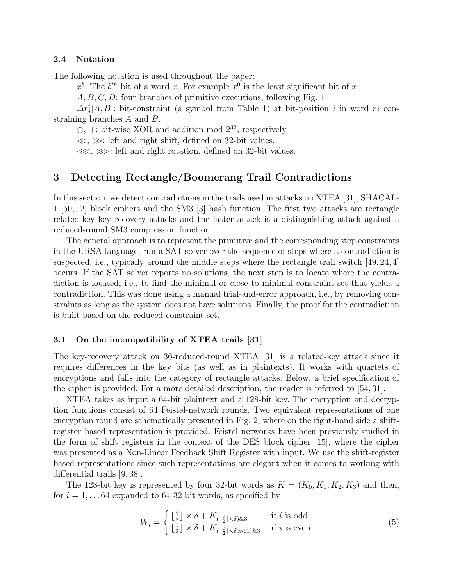#### 2.4 Notation

The following notation is used throughout the paper:

 $x^b$ : The  $b^{th}$  bit of a word x. For example  $x^0$  is the least significant bit of x.

A, B, C, D: four branches of primitive executions, following Fig. 1.

 $\Delta r_j^i[A, B]$ : bit-constraint (a symbol from Table 1) at bit-position i in word  $r_j$  constraining branches A and B.

 $\oplus$ , +: bit-wise XOR and addition mod  $2^{32}$ , respectively

 $\ll$ ,  $\gg$ : left and right shift, defined on 32-bit values.

 $\lll$ ,  $\gg$ : left and right rotation, defined on 32-bit values.

### 3 Detecting Rectangle/Boomerang Trail Contradictions

In this section, we detect contradictions in the trails used in attacks on XTEA [31], SHACAL-1 [50, 12] block ciphers and the SM3 [3] hash function. The first two attacks are rectangle related-key key recovery attacks and the latter attack is a distinguishing attack against a reduced-round SM3 compression function.

The general approach is to represent the primitive and the corresponding step constraints in the URSA language, run a SAT solver over the sequence of steps where a contradiction is suspected, i.e., typically around the middle steps where the rectangle trail switch  $[49, 24, 4]$ occurs. If the SAT solver reports no solutions, the next step is to locate where the contradiction is located, i.e., to find the minimal or close to minimal constraint set that yields a contradiction. This was done using a manual trial-and-error approach, i.e., by removing constraints as long as the system does not have solutions. Finally, the proof for the contradiction is built based on the reduced constraint set.

#### 3.1 On the incompatibility of XTEA trails [31]

The key-recovery attack on 36-reduced-round XTEA [31] is a related-key attack since it requires differences in the key bits (as well as in plaintexts). It works with quartets of encryptions and falls into the category of rectangle attacks. Below, a brief specification of the cipher is provided. For a more detailed description, the reader is referred to [54, 31].

XTEA takes as input a 64-bit plaintext and a 128-bit key. The encryption and decryption functions consist of 64 Feistel-network rounds. Two equivalent representations of one encryption round are schematically presented in Fig. 2, where on the right-hand side a shiftregister based representation is provided. Feistel networks have been previously studied in the form of shift registers in the context of the DES block cipher [15], where the cipher was presented as a Non-Linear Feedback Shift Register with input. We use the shift-register based representations since such representations are elegant when it comes to working with differential trails [9, 38].

The 128-bit key is represented by four 32-bit words as  $K = (K_0, K_1, K_2, K_3)$  and then, for  $i = 1, \ldots 64$  expanded to 64 32-bit words, as specified by

$$
W_i = \begin{cases} \n\left\lfloor \frac{i}{2} \right\rfloor \times \delta + K_{\left(\lfloor \frac{i}{2} \rfloor \times \delta\right) \& 3} & \text{if } i \text{ is odd} \\
\left\lfloor \frac{i}{2} \right\rfloor \times \delta + K_{\left(\lfloor \frac{i}{2} \rfloor \times \delta \gg 11\right) \& 3} & \text{if } i \text{ is even}\n\end{cases} \tag{5}
$$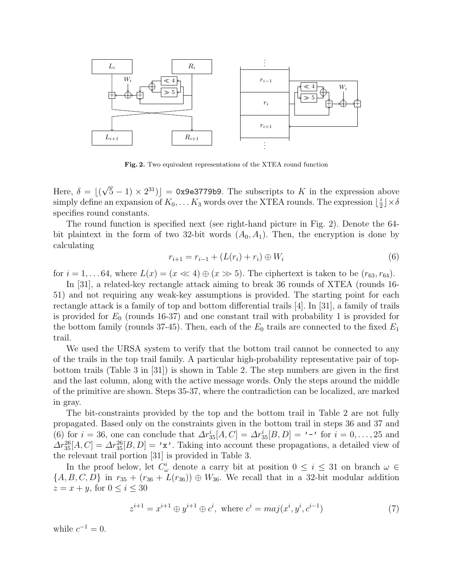

Fig. 2. Two equivalent representations of the XTEA round function

Here,  $\delta = |($ √  $\sqrt{5} - 1 \times 2^{31}$ ] = 0x9e3779b9. The subscripts to K in the expression above simply define an expansion of  $K_0, \ldots K_3$  words over the XTEA rounds. The expression  $\lfloor \frac{i}{2} \rfloor$  $\frac{i}{2}$   $\times \delta$ specifies round constants.

The round function is specified next (see right-hand picture in Fig. 2). Denote the 64 bit plaintext in the form of two 32-bit words  $(A_0, A_1)$ . Then, the encryption is done by calculating

$$
r_{i+1} = r_{i-1} + (L(r_i) + r_i) \oplus W_i \tag{6}
$$

for  $i = 1, \ldots 64$ , where  $L(x) = (x \ll 4) \oplus (x \gg 5)$ . The ciphertext is taken to be  $(r_{63}, r_{64})$ .

In [31], a related-key rectangle attack aiming to break 36 rounds of XTEA (rounds 16- 51) and not requiring any weak-key assumptions is provided. The starting point for each rectangle attack is a family of top and bottom differential trails [4]. In [31], a family of trails is provided for  $E_0$  (rounds 16-37) and one constant trail with probability 1 is provided for the bottom family (rounds 37-45). Then, each of the  $E_0$  trails are connected to the fixed  $E_1$ trail.

We used the URSA system to verify that the bottom trail cannot be connected to any of the trails in the top trail family. A particular high-probability representative pair of topbottom trails (Table 3 in [31]) is shown in Table 2. The step numbers are given in the first and the last column, along with the active message words. Only the steps around the middle of the primitive are shown. Steps 35-37, where the contradiction can be localized, are marked in gray.

The bit-constraints provided by the top and the bottom trail in Table 2 are not fully propagated. Based only on the constraints given in the bottom trail in steps 36 and 37 and (6) for  $i = 36$ , one can conclude that  $\Delta r_{35}^i[A, C] = \Delta r_{35}^i[B, D] = \cdots$  for  $i = 0, \ldots, 25$  and  $\Delta r_{35}^{26}[A, C] = \Delta r_{35}^{26}[B, D] = 'x'.$  Taking into account these propagations, a detailed view of the relevant trail portion [31] is provided in Table 3.

In the proof below, let  $C^i_\omega$  denote a carry bit at position  $0 \leq i \leq 31$  on branch  $\omega \in$  ${A, B, C, D}$  in  $r_{35} + (r_{36} + L(r_{36})) \oplus W_{36}$ . We recall that in a 32-bit modular addition  $z = x + y$ , for  $0 \leq i \leq 30$ 

$$
z^{i+1} = x^{i+1} \oplus y^{i+1} \oplus c^i, \text{ where } c^i = maj(x^i, y^i, c^{i-1})
$$
 (7)

while  $c^{-1} = 0$ .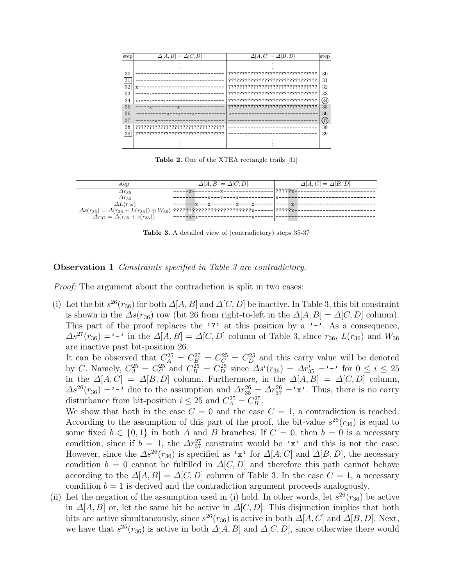

Table 2. One of the XTEA rectangle trails [31]

| step                                           | $\Delta[A, B] = \Delta[C, D]$                                                                                                                          | $\Delta[A, C] = \Delta[B, D]$ |
|------------------------------------------------|--------------------------------------------------------------------------------------------------------------------------------------------------------|-------------------------------|
| $\varDelta r_{35}$                             |                                                                                                                                                        | $ ?????x-$                    |
| $\Delta r$ <sub>36</sub><br>$\Delta L(r_{36})$ | ----x---x----x----                                                                                                                                     |                               |
|                                                | --------x---x---------x----x-----<br>$\Delta s(r_{36}) = \Delta (r_{36} + L(r_{36})) \oplus W_{36})  ?$ ??????????????????????????????~------  ?????x- |                               |
| $\Delta r_{37} = \Delta (r_{35} + s(r_{36}))$  | -----x-x-                                                                                                                                              |                               |

Table 3. A detailed view of (contradictory) steps 35-37

#### **Observation 1** Constraints specified in Table 3 are contradictory.

Proof: The argument about the contradiction is split in two cases:

(i) Let the bit  $s^{26}(r_{36})$  for both  $\Delta[A, B]$  and  $\Delta[C, D]$  be inactive. In Table 3, this bit constraint is shown in the  $\Delta s(r_{36})$  row (bit 26 from right-to-left in the  $\Delta[A, B] = \Delta[C, D]$  column). This part of the proof replaces the '?' at this position by a '-'. As a consequence,  $\Delta s^{27}(r_{36}) = -1$  in the  $\Delta[A, B] = \Delta[C, D]$  column of Table 3, since  $r_{36}$ ,  $L(r_{36})$  and  $W_{36}$ are inactive past bit-position 26.

It can be observed that  $C_A^{25} = C_B^{25} = C_C^{25} = C_D^{25}$  and this carry value will be denoted by C. Namely,  $C_A^{25} = C_C^{25}$  and  $C_B^{25} = C_D^{25}$  since  $\Delta s^i(r_{36}) = \Delta r_{35}^i = -1$  for  $0 \le i \le 25$ in the  $\Delta[A, C] = \Delta[B, D]$  column. Furthermore, in the  $\Delta[A, B] = \Delta[C, D]$  column,  $\Delta s^{26}(r_{36}) = \cdots$  due to the assumption and  $\Delta r_{35}^{26} = \Delta r_{37}^{26} = \cdots$ . Thus, there is no carry disturbance from bit-position  $i \leq 25$  and  $C_A^{25} = C_B^{25}$ .

We show that both in the case  $C = 0$  and the case  $C = 1$ , a contradiction is reached. According to the assumption of this part of the proof, the bit-value  $s^{26}(r_{36})$  is equal to some fixed  $b \in \{0,1\}$  in both A and B branches. If  $C = 0$ , then  $b = 0$  is a necessary condition, since if  $b = 1$ , the  $\Delta r_{37}^{27}$  constraint would be 'x' and this is not the case. However, since the  $\Delta s^{26}(r_{36})$  is specified as 'x' for  $\Delta[A, C]$  and  $\Delta[B, D]$ , the necessary condition  $b = 0$  cannot be fulfilled in  $\Delta [C, D]$  and therefore this path cannot behave according to the  $\Delta[A, B] = \Delta[C, D]$  column of Table 3. In the case  $C = 1$ , a necessary condition  $b = 1$  is derived and the contradiction argument proceeds analogously.

(ii) Let the negation of the assumption used in (i) hold. In other words, let  $s^{26}(r_{36})$  be active in  $\Delta[A, B]$  or, let the same bit be active in  $\Delta[C, D]$ . This disjunction implies that both bits are active simultaneously, since  $s^{26}(r_{36})$  is active in both  $\Delta[A, C]$  and  $\Delta[B, D]$ . Next, we have that  $s^{25}(r_{36})$  is active in both  $\Delta[A, B]$  and  $\Delta[C, D]$ , since otherwise there would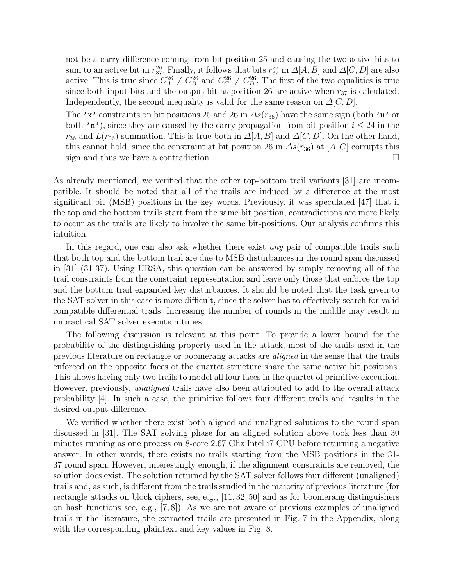not be a carry difference coming from bit position 25 and causing the two active bits to sum to an active bit in  $r_{37}^{26}$ . Finally, it follows that bits  $r_{37}^{27}$  in  $\Delta[A, B]$  and  $\Delta[C, D]$  are also active. This is true since  $C_A^{26} \neq C_B^{26}$  and  $C_C^{26} \neq C_D^{26}$ . The first of the two equalities is true since both input bits and the output bit at position 26 are active when  $r_{37}$  is calculated. Independently, the second inequality is valid for the same reason on  $\Delta[C, D]$ .

The 'x' constraints on bit positions 25 and 26 in  $\Delta s(r_{36})$  have the same sign (both 'u' or both 'n'), since they are caused by the carry propagation from bit position  $i \leq 24$  in the  $r_{36}$  and  $L(r_{36})$  summation. This is true both in  $\Delta[A, B]$  and  $\Delta[C, D]$ . On the other hand, this cannot hold, since the constraint at bit position 26 in  $\Delta s(r_{36})$  at [A, C] corrupts this sign and thus we have a contradiction.

As already mentioned, we verified that the other top-bottom trail variants [31] are incompatible. It should be noted that all of the trails are induced by a difference at the most significant bit (MSB) positions in the key words. Previously, it was speculated [47] that if the top and the bottom trails start from the same bit position, contradictions are more likely to occur as the trails are likely to involve the same bit-positions. Our analysis confirms this intuition.

In this regard, one can also ask whether there exist *any* pair of compatible trails such that both top and the bottom trail are due to MSB disturbances in the round span discussed in [31] (31-37). Using URSA, this question can be answered by simply removing all of the trail constraints from the constraint representation and leave only those that enforce the top and the bottom trail expanded key disturbances. It should be noted that the task given to the SAT solver in this case is more difficult, since the solver has to effectively search for valid compatible differential trails. Increasing the number of rounds in the middle may result in impractical SAT solver execution times.

The following discussion is relevant at this point. To provide a lower bound for the probability of the distinguishing property used in the attack, most of the trails used in the previous literature on rectangle or boomerang attacks are aligned in the sense that the trails enforced on the opposite faces of the quartet structure share the same active bit positions. This allows having only two trails to model all four faces in the quartet of primitive execution. However, previously, unaligned trails have also been attributed to add to the overall attack probability [4]. In such a case, the primitive follows four different trails and results in the desired output difference.

We verified whether there exist both aligned and unaligned solutions to the round span discussed in [31]. The SAT solving phase for an aligned solution above took less than 30 minutes running as one process on 8-core 2.67 Ghz Intel i7 CPU before returning a negative answer. In other words, there exists no trails starting from the MSB positions in the 31- 37 round span. However, interestingly enough, if the alignment constraints are removed, the solution does exist. The solution returned by the SAT solver follows four different (unaligned) trails and, as such, is different from the trails studied in the majority of previous literature (for rectangle attacks on block ciphers, see, e.g., [11, 32, 50] and as for boomerang distinguishers on hash functions see, e.g., [7, 8]). As we are not aware of previous examples of unaligned trails in the literature, the extracted trails are presented in Fig. 7 in the Appendix, along with the corresponding plaintext and key values in Fig. 8.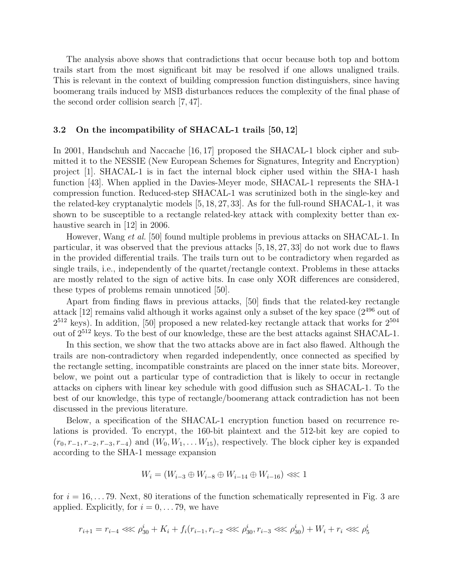The analysis above shows that contradictions that occur because both top and bottom trails start from the most significant bit may be resolved if one allows unaligned trails. This is relevant in the context of building compression function distinguishers, since having boomerang trails induced by MSB disturbances reduces the complexity of the final phase of the second order collision search [7, 47].

#### 3.2 On the incompatibility of SHACAL-1 trails [50, 12]

In 2001, Handschuh and Naccache [16, 17] proposed the SHACAL-1 block cipher and submitted it to the NESSIE (New European Schemes for Signatures, Integrity and Encryption) project [1]. SHACAL-1 is in fact the internal block cipher used within the SHA-1 hash function [43]. When applied in the Davies-Meyer mode, SHACAL-1 represents the SHA-1 compression function. Reduced-step SHACAL-1 was scrutinized both in the single-key and the related-key cryptanalytic models [5, 18, 27, 33]. As for the full-round SHACAL-1, it was shown to be susceptible to a rectangle related-key attack with complexity better than exhaustive search in [12] in 2006.

However, Wang et al. [50] found multiple problems in previous attacks on SHACAL-1. In particular, it was observed that the previous attacks [5, 18, 27, 33] do not work due to flaws in the provided differential trails. The trails turn out to be contradictory when regarded as single trails, i.e., independently of the quartet/rectangle context. Problems in these attacks are mostly related to the sign of active bits. In case only XOR differences are considered, these types of problems remain unnoticed [50].

Apart from finding flaws in previous attacks, [50] finds that the related-key rectangle attack [12] remains valid although it works against only a subset of the key space (2<sup>496</sup> out of  $2^{512}$  keys). In addition, [50] proposed a new related-key rectangle attack that works for  $2^{504}$ out of 2<sup>512</sup> keys. To the best of our knowledge, these are the best attacks against SHACAL-1.

In this section, we show that the two attacks above are in fact also flawed. Although the trails are non-contradictory when regarded independently, once connected as specified by the rectangle setting, incompatible constraints are placed on the inner state bits. Moreover, below, we point out a particular type of contradiction that is likely to occur in rectangle attacks on ciphers with linear key schedule with good diffusion such as SHACAL-1. To the best of our knowledge, this type of rectangle/boomerang attack contradiction has not been discussed in the previous literature.

Below, a specification of the SHACAL-1 encryption function based on recurrence relations is provided. To encrypt, the 160-bit plaintext and the 512-bit key are copied to  $(r_0, r_{-1}, r_{-2}, r_{-3}, r_{-4})$  and  $(W_0, W_1, \ldots W_{15})$ , respectively. The block cipher key is expanded according to the SHA-1 message expansion

$$
W_i = (W_{i-3} \oplus W_{i-8} \oplus W_{i-14} \oplus W_{i-16}) \lll 1
$$

for  $i = 16, \ldots 79$ . Next, 80 iterations of the function schematically represented in Fig. 3 are applied. Explicitly, for  $i = 0, \ldots 79$ , we have

$$
r_{i+1} = r_{i-4} \lll \rho_{30}^i + K_i + f_i(r_{i-1}, r_{i-2} \lll \rho_{30}^i, r_{i-3} \lll \rho_{30}^i) + W_i + r_i \lll \rho_5^i
$$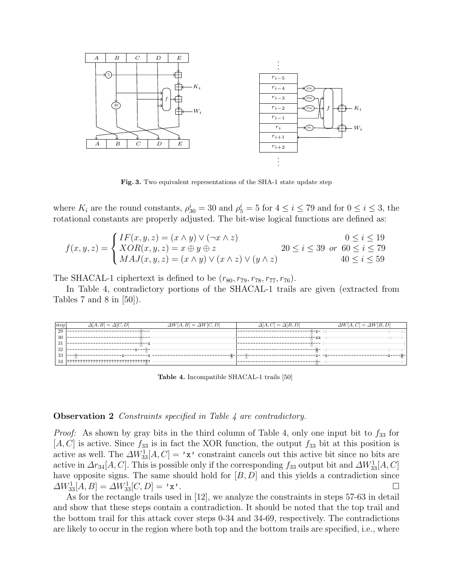

Fig. 3. Two equivalent representations of the SHA-1 state update step

where  $K_i$  are the round constants,  $\rho_{30}^i = 30$  and  $\rho_5^i = 5$  for  $4 \le i \le 79$  and for  $0 \le i \le 3$ , the rotational constants are properly adjusted. The bit-wise logical functions are defined as:

$$
f(x,y,z) = \begin{cases} IF(x,y,z) = (x \wedge y) \vee (\neg x \wedge z) & 0 \le i \le 19\\ XOR(x,y,z) = x \oplus y \oplus z & 20 \le i \le 39 \text{ or } 60 \le i \le 79\\ MAJ(x,y,z) = (x \wedge y) \vee (x \wedge z) \vee (y \wedge z) & 40 \le i \le 59 \end{cases}
$$

The SHACAL-1 ciphertext is defined to be  $(r_{80}, r_{79}, r_{78}, r_{77}, r_{76})$ .

In Table 4, contradictory portions of the SHACAL-1 trails are given (extracted from Tables 7 and 8 in  $[50]$ ).

| $\Delta[A, B] = \Delta[\overline{C, D]}$ | $\Delta W[A, B] = \Delta W[C, D]$ | $\Delta[A, C] = \Delta[B, D]$ | $\Delta W[A, C] = \Delta W[B, D]$ |
|------------------------------------------|-----------------------------------|-------------------------------|-----------------------------------|
|                                          |                                   |                               |                                   |
|                                          |                                   |                               |                                   |
|                                          |                                   |                               |                                   |
|                                          |                                   |                               |                                   |
|                                          |                                   |                               |                                   |
|                                          |                                   |                               |                                   |
|                                          |                                   |                               | $\mathbf{A}$                      |

Table 4. Incompatible SHACAL-1 trails [50]

#### **Observation 2** Constraints specified in Table 4 are contradictory.

*Proof:* As shown by gray bits in the third column of Table 4, only one input bit to  $f_{33}$  for  $[A, C]$  is active. Since  $f_{33}$  is in fact the XOR function, the output  $f_{33}$  bit at this position is active as well. The  $\Delta W_{33}^1[A, C] = 'x'$  constraint cancels out this active bit since no bits are active in  $\Delta r_{34}[A, C]$ . This is possible only if the corresponding  $f_{33}$  output bit and  $\Delta W_{33}^1[A, C]$ have opposite signs. The same should hold for  $[B, D]$  and this yields a contradiction since  $\Delta W_{33}^1[A,B] = \Delta W_{33}^1[C,D] = 'x'.$ 

As for the rectangle trails used in [12], we analyze the constraints in steps 57-63 in detail and show that these steps contain a contradiction. It should be noted that the top trail and the bottom trail for this attack cover steps 0-34 and 34-69, respectively. The contradictions are likely to occur in the region where both top and the bottom trails are specified, i.e., where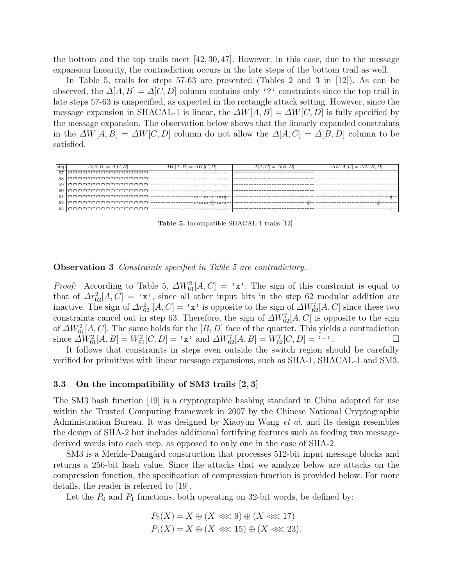the bottom and the top trails meet  $[42, 30, 47]$ . However, in this case, due to the message expansion linearity, the contradiction occurs in the late steps of the bottom trail as well.

In Table 5, trails for steps 57-63 are presented (Tables 2 and 3 in [12]). As can be observed, the  $\Delta[A, B] = \Delta[C, D]$  column contains only '?' constraints since the top trail in late steps 57-63 is unspecified, as expected in the rectangle attack setting. However, since the message expansion in SHACAL-1 is linear, the  $\Delta W|A, B| = \Delta W|C, D|$  is fully specified by the message expansion. The observation below shows that the linearly expanded constraints in the  $\Delta W[A, B] = \Delta W[C, D]$  column do not allow the  $\Delta[A, C] = \Delta[B, D]$  column to be satisfied.

| step | $\Delta[A, B] = \Delta[C, D]$              | $\Delta W[A, B] = \Delta W[C, D]$ | $\Delta[A, C] = \Delta[B, D]$ | $\Delta W[A, C] = \Delta W[B, D]$ |
|------|--------------------------------------------|-----------------------------------|-------------------------------|-----------------------------------|
|      |                                            |                                   |                               |                                   |
|      |                                            | --x-xxx----xx-x-                  |                               |                                   |
|      |                                            | $-x-xx-x---x-x-x$                 |                               |                                   |
|      |                                            | $X-----XXX---XXX$                 |                               |                                   |
| 6    | <u> ????????????????????????????????</u> - | -xx--xx-x-xxxx-                   |                               |                                   |
| 62   |                                            | $-x-xxxx---xx-x-$                 |                               |                                   |
|      | ?????????????????????????????????          |                                   |                               |                                   |

Table 5. Incompatible SHACAL-1 trails [12]

### **Observation 3** Constraints specified in Table 5 are contradictory.

*Proof:* According to Table 5,  $\Delta W_{61}^2[A, C] = 'x'.$  The sign of this constraint is equal to that of  $\Delta r_{62}^2[A, C] = 'x'$ , since all other input bits in the step 62 modular addition are inactive. The sign of  $\Delta r_{62}^2$  [A, C] = 'x' is opposite to the sign of  $\Delta W_{62}^7[A,C]$  since these two constraints cancel out in step 63. Therefore, the sign of  $\Delta W_{62}^7[A,C]$  is opposite to the sign of  $\Delta W_{61}^2[A, C]$ . The same holds for the  $[B, D]$  face of the quartet. This yields a contradiction since  $\widetilde{\Delta W}^2_{61}[A, B] = W^2_{61}[C, D] = 'x'$  and  $\Delta W^7_{62}[A, B] = W^7_{62}[C, D] = '-''.$ 

It follows that constraints in steps even outside the switch region should be carefully verified for primitives with linear message expansions, such as SHA-1, SHACAL-1 and SM3.

#### 3.3 On the incompatibility of SM3 trails [2, 3]

The SM3 hash function [19] is a cryptographic hashing standard in China adopted for use within the Trusted Computing framework in 2007 by the Chinese National Cryptographic Administration Bureau. It was designed by Xiaoyun Wang et al. and its design resembles the design of SHA-2 but includes additional fortifying features such as feeding two messagederived words into each step, as opposed to only one in the case of SHA-2.

SM3 is a Merkle-Damgård construction that processes 512-bit input message blocks and returns a 256-bit hash value. Since the attacks that we analyze below are attacks on the compression function, the specification of compression function is provided below. For more details, the reader is referred to [19].

Let the  $P_0$  and  $P_1$  functions, both operating on 32-bit words, be defined by:

$$
P_0(X) = X \oplus (X \lll 9) \oplus (X \lll 17) P_1(X) = X \oplus (X \lll 15) \oplus (X \lll 23).
$$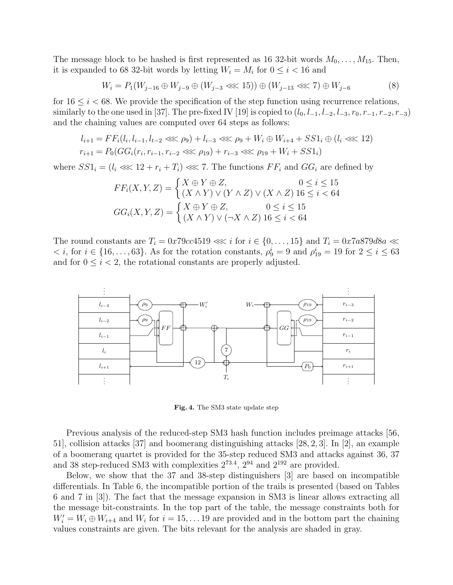The message block to be hashed is first represented as 16 32-bit words  $M_0, \ldots, M_{15}$ . Then, it is expanded to 68 32-bit words by letting  $W_i = M_i$  for  $0 \leq i < 16$  and

$$
W_i = P_1(W_{j-16} \oplus W_{j-9} \oplus (W_{j-3} \lll 15)) \oplus (W_{j-13} \lll 7) \oplus W_{j-6}
$$
\n(8)

for  $16 \leq i < 68$ . We provide the specification of the step function using recurrence relations, similarly to the one used in [37]. The pre-fixed IV [19] is copied to  $(l_0, l_{-1}, l_{-2}, l_{-3}, r_0, r_{-1}, r_{-2}, r_{-3})$ and the chaining values are computed over 64 steps as follows:

$$
l_{i+1} = FF_i(l_i, l_{i-1}, l_{t-2} \lll \rho_9) + l_{i-3} \lll \rho_9 + W_i \oplus W_{i+4} + SS1_i \oplus (l_i \lll 12)
$$
  

$$
r_{i+1} = P_0(GG_i(r_i, r_{i-1}, r_{i-2} \lll \rho_{19}) + r_{i-3} \lll \rho_{19} + W_i + SS1_i)
$$

where  $SS1_i = (l_i \ll 12 + r_i + T_i) \ll 7$ . The functions  $FF_i$  and  $GG_i$  are defined by

$$
FF_i(X, Y, Z) = \begin{cases} X \oplus Y \oplus Z, & 0 \le i \le 15 \\ (X \wedge Y) \vee (Y \wedge Z) \vee (X \wedge Z) \cdot 16 \le i < 64 \end{cases}
$$

$$
GG_i(X, Y, Z) = \begin{cases} X \oplus Y \oplus Z, & 0 \le i \le 15 \\ (X \wedge Y) \vee (\neg X \wedge Z) \cdot 16 \le i < 64 \end{cases}
$$

The round constants are  $T_i = 0x79cc4519 \ll i$  for  $i \in \{0, \ldots, 15\}$  and  $T_i = 0x7a879d8a \ll i$  $\langle i, \text{ for } i \in \{16, \ldots, 63\}.$  As for the rotation constants,  $\rho_9^i = 9$  and  $\rho_{19}^i = 19$  for  $2 \le i \le 63$ and for  $0 \leq i < 2$ , the rotational constants are properly adjusted.



Fig. 4. The SM3 state update step

Previous analysis of the reduced-step SM3 hash function includes preimage attacks [56, 51], collision attacks [37] and boomerang distinguishing attacks [28, 2, 3]. In [2], an example of a boomerang quartet is provided for the 35-step reduced SM3 and attacks against 36, 37 and 38 step-reduced SM3 with complexities  $2^{73.4}$ ,  $2^{94}$  and  $2^{192}$  are provided.

Below, we show that the 37 and 38-step distinguishers [3] are based on incompatible differentials. In Table 6, the incompatible portion of the trails is presented (based on Tables 6 and 7 in [3]). The fact that the message expansion in SM3 is linear allows extracting all the message bit-constraints. In the top part of the table, the message constraints both for  $W_i' = W_i \oplus W_{i+4}$  and  $W_i$  for  $i = 15, \ldots 19$  are provided and in the bottom part the chaining values constraints are given. The bits relevant for the analysis are shaded in gray.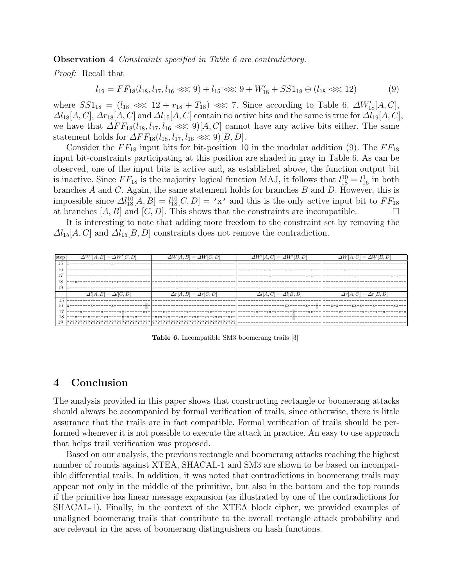**Observation 4** Constraints specified in Table 6 are contradictory.

Proof: Recall that

$$
l_{19} = FF_{18}(l_{18}, l_{17}, l_{16} \lll 9) + l_{15} \lll 9 + W'_{18} + SS1_{18} \oplus (l_{18} \lll 12) \tag{9}
$$

where  $SS1_{18} = (l_{18} \ll 12 + r_{18} + T_{18}) \ll 7$ . Since according to Table 6,  $\Delta W'_{18}[A, C]$ ,  $\Delta l_{18}[A, C], \Delta r_{18}[A, C]$  and  $\Delta l_{15}[A, C]$  contain no active bits and the same is true for  $\Delta l_{19}[A, C]$ , we have that  $\Delta FF_{18}(l_{18}, l_{17}, l_{16} \ll 9)[A, C]$  cannot have any active bits either. The same statement holds for  $\Delta FF_{18}(l_{18}, l_{17}, l_{16} \lll 9)[B, D].$ 

Consider the  $FF_{18}$  input bits for bit-position 10 in the modular addition (9). The  $FF_{18}$ input bit-constraints participating at this position are shaded in gray in Table 6. As can be observed, one of the input bits is active and, as established above, the function output bit is inactive. Since  $FF_{18}$  is the majority logical function MAJ, it follows that  $l_{18}^{10} = l_{16}^{1}$  in both branches  $A$  and  $C$ . Again, the same statement holds for branches  $B$  and  $D$ . However, this is impossible since  $\Delta l_{18}^{10}[A, B] = l_{18}^{10}[C, D] = 'x'$  and this is the only active input bit to  $FF_{18}$ at branches  $[A, B]$  and  $[C, D]$ . This shows that the constraints are incompatible.

It is interesting to note that adding more freedom to the constraint set by removing the  $\Delta l_{15}[A, C]$  and  $\Delta l_{15}[B, D]$  constraints does not remove the contradiction.

|    | $\Delta W'[A, B] = \Delta W'[C, D]$ | $\Delta W[A, B] = \Delta W[C, D]$ | $\Delta W'[A,C] = \Delta W'[B,D]$                   | $\Delta W[A,C] = \Delta W[B,D]$ |
|----|-------------------------------------|-----------------------------------|-----------------------------------------------------|---------------------------------|
|    |                                     |                                   |                                                     |                                 |
| 15 |                                     |                                   |                                                     |                                 |
| 16 |                                     |                                   | -x-xx---x-x-x------xxx-------x---                   |                                 |
|    |                                     |                                   | ------------ <u>x</u> -------------- <u>x</u> -x--- |                                 |
| 18 |                                     |                                   |                                                     |                                 |
| 19 |                                     |                                   | _____________                                       |                                 |
|    | $B =$                               | $B  =$<br>Λr                      | $=$                                                 | $=$                             |
| 15 |                                     |                                   |                                                     |                                 |
| 16 |                                     |                                   |                                                     |                                 |
|    | -xx-                                | --xx-----x-x-<br>-xx              | -xx-<br>-xx---xx-x-                                 |                                 |
| 18 | -x-xx<br>--х--хх                    | -xxx-xx---xxx--xxx--xx-xxxx--xx-  |                                                     |                                 |
|    |                                     |                                   |                                                     |                                 |

Table 6. Incompatible SM3 boomerang trails [3]

### 4 Conclusion

The analysis provided in this paper shows that constructing rectangle or boomerang attacks should always be accompanied by formal verification of trails, since otherwise, there is little assurance that the trails are in fact compatible. Formal verification of trails should be performed whenever it is not possible to execute the attack in practice. An easy to use approach that helps trail verification was proposed.

Based on our analysis, the previous rectangle and boomerang attacks reaching the highest number of rounds against XTEA, SHACAL-1 and SM3 are shown to be based on incompatible differential trails. In addition, it was noted that contradictions in boomerang trails may appear not only in the middle of the primitive, but also in the bottom and the top rounds if the primitive has linear message expansion (as illustrated by one of the contradictions for SHACAL-1). Finally, in the context of the XTEA block cipher, we provided examples of unaligned boomerang trails that contribute to the overall rectangle attack probability and are relevant in the area of boomerang distinguishers on hash functions.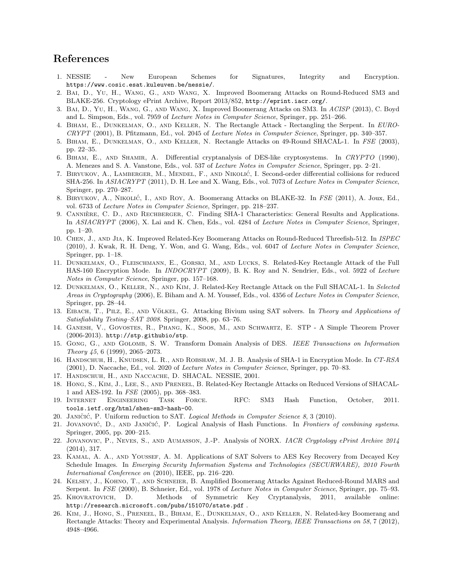# References

- 1. NESSIE New European Schemes for Signatures, Integrity and Encryption. https://www.cosic.esat.kuleuven.be/nessie/.
- 2. Bai, D., Yu, H., Wang, G., and Wang, X. Improved Boomerang Attacks on Round-Reduced SM3 and BLAKE-256. Cryptology ePrint Archive, Report 2013/852, http://eprint.iacr.org/.
- 3. Bai, D., Yu, H., Wang, G., and Wang, X. Improved Boomerang Attacks on SM3. In ACISP (2013), C. Boyd and L. Simpson, Eds., vol. 7959 of Lecture Notes in Computer Science, Springer, pp. 251–266.
- 4. Biham, E., Dunkelman, O., and Keller, N. The Rectangle Attack Rectangling the Serpent. In EURO-CRYPT (2001), B. Pfitzmann, Ed., vol. 2045 of Lecture Notes in Computer Science, Springer, pp. 340–357.
- 5. BIHAM, E., DUNKELMAN, O., AND KELLER, N. Rectangle Attacks on 49-Round SHACAL-1. In FSE (2003), pp. 22–35.
- 6. Biham, E., and Shamir, A. Differential cryptanalysis of DES-like cryptosystems. In CRYPTO (1990), A. Menezes and S. A. Vanstone, Eds., vol. 537 of Lecture Notes in Computer Science, Springer, pp. 2–21.
- 7. BIRYUKOV, A., LAMBERGER, M., MENDEL, F., AND NIKOLIĆ, I. Second-order differential collisions for reduced SHA-256. In ASIACRYPT (2011), D. H. Lee and X. Wang, Eds., vol. 7073 of Lecture Notes in Computer Science, Springer, pp. 270–287.
- 8. BIRYUKOV, A., NIKOLIĆ, I., AND ROY, A. Boomerang Attacks on BLAKE-32. In FSE (2011), A. Joux, Ed., vol. 6733 of Lecture Notes in Computer Science, Springer, pp. 218–237.
- 9. CANNIERE, C. D., AND RECHBERGER, C. Finding SHA-1 Characteristics: General Results and Applications. In ASIACRYPT (2006), X. Lai and K. Chen, Eds., vol. 4284 of Lecture Notes in Computer Science, Springer, pp. 1–20.
- 10. Chen, J., and Jia, K. Improved Related-Key Boomerang Attacks on Round-Reduced Threefish-512. In ISPEC (2010), J. Kwak, R. H. Deng, Y. Won, and G. Wang, Eds., vol. 6047 of Lecture Notes in Computer Science, Springer, pp. 1–18.
- 11. Dunkelman, O., Fleischmann, E., Gorski, M., and Lucks, S. Related-Key Rectangle Attack of the Full HAS-160 Encryption Mode. In INDOCRYPT (2009), B. K. Roy and N. Sendrier, Eds., vol. 5922 of Lecture Notes in Computer Science, Springer, pp. 157–168.
- 12. Dunkelman, O., Keller, N., and Kim, J. Related-Key Rectangle Attack on the Full SHACAL-1. In Selected Areas in Cryptography (2006), E. Biham and A. M. Youssef, Eds., vol. 4356 of Lecture Notes in Computer Science, Springer, pp. 28–44.
- 13. EIBACH, T., PILZ, E., AND VÖLKEL, G. Attacking Bivium using SAT solvers. In Theory and Applications of Satisfiability Testing–SAT 2008. Springer, 2008, pp. 63–76.
- 14. Ganesh, V., Govostes, R., Phang, K., Soos, M., and Schwartz, E. STP A Simple Theorem Prover (2006-2013). http://stp.githubio/stp.
- 15. Gong, G., and Golomb, S. W. Transform Domain Analysis of DES. IEEE Transactions on Information Theory 45, 6 (1999), 2065–2073.
- 16. Handschuh, H., Knudsen, L. R., and Robshaw, M. J. B. Analysis of SHA-1 in Encryption Mode. In CT-RSA (2001), D. Naccache, Ed., vol. 2020 of Lecture Notes in Computer Science, Springer, pp. 70–83.
- 17. Handschuh, H., and Naccache, D. SHACAL. NESSIE, 2001.
- 18. Hong, S., Kim, J., Lee, S., and Preneel, B. Related-Key Rectangle Attacks on Reduced Versions of SHACAL-1 and AES-192. In FSE (2005), pp. 368–383.
- 19. Internet Engineering Task Force. RFC: SM3 Hash Function, October, 2011. tools.ietf.org/html/shen-sm3-hash-00.
- 20. JANIČIĆ, P. Uniform reduction to SAT. Logical Methods in Computer Science 8, 3 (2010).
- 21. JOVANOVIĆ, D., AND JANIČIĆ, P. Logical Analysis of Hash Functions. In Frontiers of combining systems. Springer, 2005, pp. 200–215.
- 22. Jovanovic, P., Neves, S., and Aumasson, J.-P. Analysis of NORX. IACR Cryptology ePrint Archive 2014 (2014), 317.
- 23. Kamal, A. A., and Youssef, A. M. Applications of SAT Solvers to AES Key Recovery from Decayed Key Schedule Images. In Emerging Security Information Systems and Technologies (SECURWARE), 2010 Fourth International Conference on (2010), IEEE, pp. 216–220.
- 24. Kelsey, J., Kohno, T., and Schneier, B. Amplified Boomerang Attacks Against Reduced-Round MARS and Serpent. In FSE (2000), B. Schneier, Ed., vol. 1978 of Lecture Notes in Computer Science, Springer, pp. 75–93.
- 25. Khovratovich, D. Methods of Symmetric Key Cryptanalysis, 2011, available online: http://research.microsoft.com/pubs/151070/state.pdf .
- 26. Kim, J., Hong, S., Preneel, B., Biham, E., Dunkelman, O., and Keller, N. Related-key Boomerang and Rectangle Attacks: Theory and Experimental Analysis. Information Theory, IEEE Transactions on 58, 7 (2012), 4948–4966.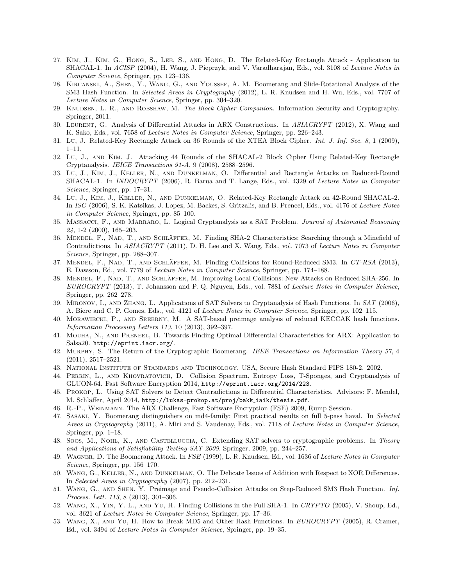- 27. Kim, J., Kim, G., Hong, S., Lee, S., and Hong, D. The Related-Key Rectangle Attack Application to SHACAL-1. In ACISP (2004), H. Wang, J. Pieprzyk, and V. Varadharajan, Eds., vol. 3108 of Lecture Notes in Computer Science, Springer, pp. 123–136.
- 28. Kircanski, A., Shen, Y., Wang, G., and Youssef, A. M. Boomerang and Slide-Rotational Analysis of the SM3 Hash Function. In Selected Areas in Cryptography (2012), L. R. Knudsen and H. Wu, Eds., vol. 7707 of Lecture Notes in Computer Science, Springer, pp. 304–320.
- 29. KNUDSEN, L. R., AND ROBSHAW, M. The Block Cipher Companion. Information Security and Cryptography. Springer, 2011.
- 30. Leurent, G. Analysis of Differential Attacks in ARX Constructions. In ASIACRYPT (2012), X. Wang and K. Sako, Eds., vol. 7658 of Lecture Notes in Computer Science, Springer, pp. 226–243.
- 31. Lu, J. Related-Key Rectangle Attack on 36 Rounds of the XTEA Block Cipher. Int. J. Inf. Sec. 8, 1 (2009), 1–11.
- 32. Lu, J., and Kim, J. Attacking 44 Rounds of the SHACAL-2 Block Cipher Using Related-Key Rectangle Cryptanalysis. IEICE Transactions 91-A, 9 (2008), 2588–2596.
- 33. Lu, J., Kim, J., Keller, N., and Dunkelman, O. Differential and Rectangle Attacks on Reduced-Round SHACAL-1. In *INDOCRYPT* (2006), R. Barua and T. Lange, Eds., vol. 4329 of Lecture Notes in Computer Science, Springer, pp. 17–31.
- 34. Lu, J., Kim, J., Keller, N., and Dunkelman, O. Related-Key Rectangle Attack on 42-Round SHACAL-2. In ISC (2006), S. K. Katsikas, J. Lopez, M. Backes, S. Gritzalis, and B. Preneel, Eds., vol. 4176 of Lecture Notes in Computer Science, Springer, pp. 85–100.
- 35. Massacci, F., and Marraro, L. Logical Cryptanalysis as a SAT Problem. Journal of Automated Reasoning 24, 1-2 (2000), 165–203.
- 36. MENDEL, F., NAD, T., AND SCHLÄFFER, M. Finding SHA-2 Characteristics: Searching through a Minefield of Contradictions. In ASIACRYPT (2011), D. H. Lee and X. Wang, Eds., vol. 7073 of Lecture Notes in Computer Science, Springer, pp. 288–307.
- 37. MENDEL, F., NAD, T., AND SCHLÄFFER, M. Finding Collisions for Round-Reduced SM3. In CT-RSA (2013), E. Dawson, Ed., vol. 7779 of Lecture Notes in Computer Science, Springer, pp. 174–188.
- 38. MENDEL, F., NAD, T., AND SCHLÄFFER, M. Improving Local Collisions: New Attacks on Reduced SHA-256. In EUROCRYPT (2013), T. Johansson and P. Q. Nguyen, Eds., vol. 7881 of Lecture Notes in Computer Science, Springer, pp. 262–278.
- 39. Mironov, I., and Zhang, L. Applications of SAT Solvers to Cryptanalysis of Hash Functions. In SAT (2006), A. Biere and C. P. Gomes, Eds., vol. 4121 of Lecture Notes in Computer Science, Springer, pp. 102–115.
- 40. Morawiecki, P., and Srebrny, M. A SAT-based preimage analysis of reduced KECCAK hash functions. Information Processing Letters 113, 10 (2013), 392–397.
- 41. Mouha, N., and Preneel, B. Towards Finding Optimal Differential Characteristics for ARX: Application to Salsa20. http://eprint.iacr.org/.
- 42. Murphy, S. The Return of the Cryptographic Boomerang. IEEE Transactions on Information Theory 57, 4 (2011), 2517–2521.
- 43. National Institute of Standards and Technology. USA, Secure Hash Standard FIPS 180-2. 2002.
- 44. Perrin, L., and Khovratovich, D. Collision Spectrum, Entropy Loss, T-Sponges, and Cryptanalysis of GLUON-64. Fast Software Encryption 2014, http://eprint.iacr.org/2014/223.
- 45. Prokop, L. Using SAT Solvers to Detect Contradictions in Differential Characteristics. Advisors: F. Mendel, M. Schläffer, April 2014, http://lukas-prokop.at/proj/bakk\_iaik/thesis.pdf.
- 46. R.-P., Weinmann. The ARX Challenge, Fast Software Encryption (FSE) 2009, Rump Session.
- 47. Sasaki, Y. Boomerang distinguishers on md4-family: First practical results on full 5-pass haval. In Selected Areas in Cryptography (2011), A. Miri and S. Vaudenay, Eds., vol. 7118 of Lecture Notes in Computer Science, Springer, pp. 1–18.
- 48. Soos, M., NoHL, K., AND CASTELLUCCIA, C. Extending SAT solvers to cryptographic problems. In Theory and Applications of Satisfiability Testing-SAT 2009. Springer, 2009, pp. 244–257.
- 49. Wagner, D. The Boomerang Attack. In FSE (1999), L. R. Knudsen, Ed., vol. 1636 of Lecture Notes in Computer Science, Springer, pp. 156–170.
- 50. Wang, G., Keller, N., and Dunkelman, O. The Delicate Issues of Addition with Respect to XOR Differences. In Selected Areas in Cryptography (2007), pp. 212–231.
- 51. Wang, G., and Shen, Y. Preimage and Pseudo-Collision Attacks on Step-Reduced SM3 Hash Function. Inf. Process. Lett. 113, 8 (2013), 301–306.
- 52. Wang, X., Yin, Y. L., and Yu, H. Finding Collisions in the Full SHA-1. In CRYPTO (2005), V. Shoup, Ed., vol. 3621 of Lecture Notes in Computer Science, Springer, pp. 17–36.
- 53. WANG, X., AND YU, H. How to Break MD5 and Other Hash Functions. In EUROCRYPT (2005), R. Cramer, Ed., vol. 3494 of Lecture Notes in Computer Science, Springer, pp. 19–35.